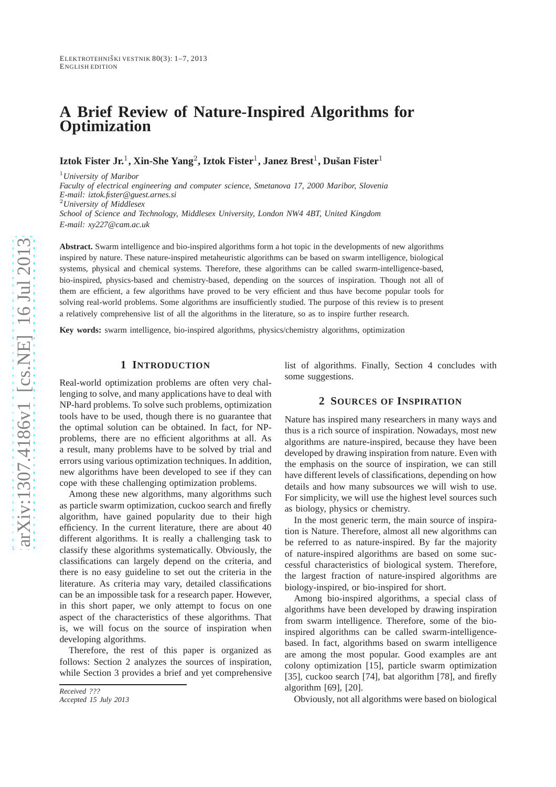# **A Brief Review of Nature-Inspired Algorithms for Optimization**

 $\bf{I}$ ztok Fister Jr.<sup>1</sup>, Xin-She Yang<sup>2</sup>, Iztok Fister<sup>1</sup>, Janez Brest<sup>1</sup>, Dušan Fister<sup>1</sup>

<sup>1</sup>*University of Maribor Faculty of electrical engineering and computer science, Smetanova 17, 2000 Maribor, Slovenia E-mail: iztok.fister@guest.arnes.si* <sup>2</sup>*University of Middlesex School of Science and Technology, Middlesex University, London NW4 4BT, United Kingdom E-mail: xy227@cam.ac.uk*

**Abstract.** Swarm intelligence and bio-inspired algorithms form a hot topic in the developments of new algorithms inspired by nature. These nature-inspired metaheuristic algorithms can be based on swarm intelligence, biological systems, physical and chemical systems. Therefore, these algorithms can be called swarm-intelligence-based, bio-inspired, physics-based and chemistry-based, depending on the sources of inspiration. Though not all of them are efficient, a few algorithms have proved to be very efficient and thus have become popular tools for solving real-world problems. Some algorithms are insufficiently studied. The purpose of this review is to present a relatively comprehensive list of all the algorithms in the literature, so as to inspire further research.

**Key words:** swarm intelligence, bio-inspired algorithms, physics/chemistry algorithms, optimization

# **1 INTRODUCTION**

Real-world optimization problems are often very challenging to solve, and many applications have to deal with NP-hard problems. To solve such problems, optimization tools have to be used, though there is no guarantee that the optimal solution can be obtained. In fact, for NPproblems, there are no efficient algorithms at all. As a result, many problems have to be solved by trial and errors using various optimization techniques. In addition , new algorithms have been developed to see if they can cope with these challenging optimization problems.

Among these new algorithms, many algorithms such as particle swarm optimization, cuckoo search and firefly algorithm, have gained popularity due to their high efficiency. In the current literature, there are about 40 different algorithms. It is really a challenging task to classify these algorithms systematically. Obviously, the classifications can largely depend on the criteria, and there is no easy guideline to set out the criteria in the literature. As criteria may vary, detailed classifications can be an impossible task for a research paper. However, in this short paper, we only attempt to focus on one aspect of the characteristics of these algorithms. That is, we will focus on the source of inspiration when developing algorithms.

Therefore, the rest of this paper is organized as follows: Section 2 analyzes the sources of inspiration, while Section 3 provides a brief and yet comprehensive list of algorithms. Finally, Section 4 concludes with some suggestions.

# **2 SOURCES OF INSPIRATION**

Nature has inspired many researchers in many ways and thus is a rich source of inspiration. Nowadays, most new algorithms are nature-inspired, because they have been developed by drawing inspiration from nature. Even with the emphasis on the source of inspiration, we can still have different levels of classifications, depending on how details and how many subsources we will wish to use. For simplicity, we will use the highest level sources such as biology, physics or chemistry.

In the most generic term, the main source of inspiration is Nature. Therefore, almost all new algorithms can be referred to as nature-inspired. By far the majority of nature-inspired algorithms are based on some successful characteristics of biological system. Therefore, the largest fraction of nature-inspired algorithms are biology-inspired, or bio-inspired for short.

Among bio-inspired algorithms, a special class of algorithms have been developed by drawing inspiration from swarm intelligence. Therefore, some of the bioinspired algorithms can be called swarm-intelligencebased. In fact, algorithms based on swarm intelligence are among the most popular. Good examples are ant colony optimization [15], particle swarm optimization [35], cuckoo search [74], bat algorithm [78], and firefly algorithm [69], [20].

Obviously, not all algorithms were based on biological

*Received ???*

*Accepted 15 July 2013*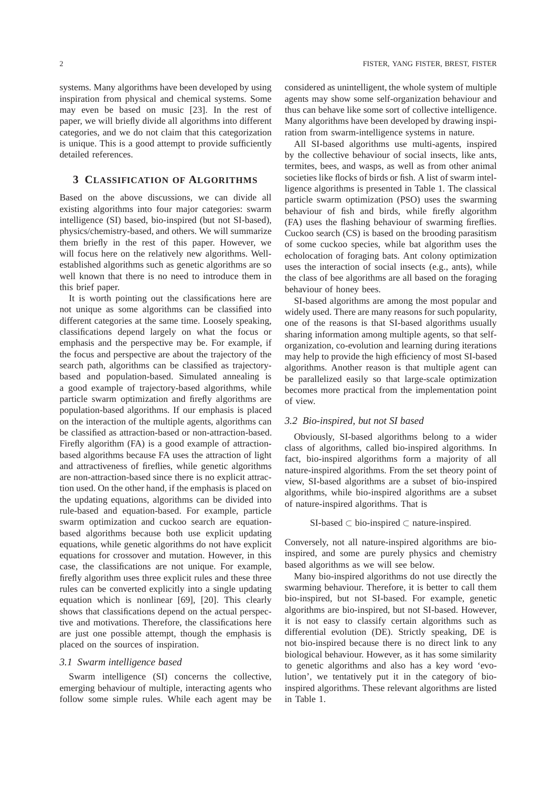systems. Many algorithms have been developed by using inspiration from physical and chemical systems. Some may even be based on music [23]. In the rest of paper, we will briefly divide all algorithms into different categories, and we do not claim that this categorization is unique. This is a good attempt to provide sufficiently detailed references.

# **3 CLASSIFICATION OF ALGORITHMS**

Based on the above discussions, we can divide all existing algorithms into four major categories: swarm intelligence (SI) based, bio-inspired (but not SI-based), physics/chemistry-based, and others. We will summarize them briefly in the rest of this paper. However, we will focus here on the relatively new algorithms. Wellestablished algorithms such as genetic algorithms are so well known that there is no need to introduce them in this brief paper.

It is worth pointing out the classifications here are not unique as some algorithms can be classified into different categories at the same time. Loosely speaking, classifications depend largely on what the focus or emphasis and the perspective may be. For example, if the focus and perspective are about the trajectory of the search path, algorithms can be classified as trajectorybased and population-based. Simulated annealing is a good example of trajectory-based algorithms, while particle swarm optimization and firefly algorithms are population-based algorithms. If our emphasis is placed on the interaction of the multiple agents, algorithms can be classified as attraction-based or non-attraction-based. Firefly algorithm (FA) is a good example of attractionbased algorithms because FA uses the attraction of light and attractiveness of fireflies, while genetic algorithms are non-attraction-based since there is no explicit attraction used. On the other hand, if the emphasis is placed on the updating equations, algorithms can be divided into rule-based and equation-based. For example, particle swarm optimization and cuckoo search are equationbased algorithms because both use explicit updating equations, while genetic algorithms do not have explicit equations for crossover and mutation. However, in this case, the classifications are not unique. For example, firefly algorithm uses three explicit rules and these three rules can be converted explicitly into a single updating equation which is nonlinear [69], [20]. This clearly shows that classifications depend on the actual perspective and motivations. Therefore, the classifications here are just one possible attempt, though the emphasis is placed on the sources of inspiration.

## *3.1 Swarm intelligence based*

Swarm intelligence (SI) concerns the collective, emerging behaviour of multiple, interacting agents who follow some simple rules. While each agent may be considered as unintelligent, the whole system of multiple agents may show some self-organization behaviour and thus can behave like some sort of collective intelligence. Many algorithms have been developed by drawing inspiration from swarm-intelligence systems in nature.

All SI-based algorithms use multi-agents, inspired by the collective behaviour of social insects, like ants, termites, bees, and wasps, as well as from other animal societies like flocks of birds or fish. A list of swarm intelligence algorithms is presented in Table 1. The classical particle swarm optimization (PSO) uses the swarming behaviour of fish and birds, while firefly algorithm (FA) uses the flashing behaviour of swarming fireflies. Cuckoo search (CS) is based on the brooding parasitism of some cuckoo species, while bat algorithm uses the echolocation of foraging bats. Ant colony optimization uses the interaction of social insects (e.g., ants), while the class of bee algorithms are all based on the foraging behaviour of honey bees.

SI-based algorithms are among the most popular and widely used. There are many reasons for such popularity, one of the reasons is that SI-based algorithms usually sharing information among multiple agents, so that selforganization, co-evolution and learning during iterations may help to provide the high efficiency of most SI-based algorithms. Another reason is that multiple agent can be parallelized easily so that large-scale optimization becomes more practical from the implementation point of view.

#### *3.2 Bio-inspired, but not SI based*

Obviously, SI-based algorithms belong to a wider class of algorithms, called bio-inspired algorithms. In fact, bio-inspired algorithms form a majority of all nature-inspired algorithms. From the set theory point of view, SI-based algorithms are a subset of bio-inspired algorithms, while bio-inspired algorithms are a subset of nature-inspired algorithms. That is

#### SI-based ⊂ bio-inspired ⊂ nature-inspired.

Conversely, not all nature-inspired algorithms are bioinspired, and some are purely physics and chemistry based algorithms as we will see below.

Many bio-inspired algorithms do not use directly the swarming behaviour. Therefore, it is better to call them bio-inspired, but not SI-based. For example, genetic algorithms are bio-inspired, but not SI-based. However, it is not easy to classify certain algorithms such as differential evolution (DE). Strictly speaking, DE is not bio-inspired because there is no direct link to any biological behaviour. However, as it has some similarity to genetic algorithms and also has a key word 'evolution', we tentatively put it in the category of bioinspired algorithms. These relevant algorithms are listed in Table 1.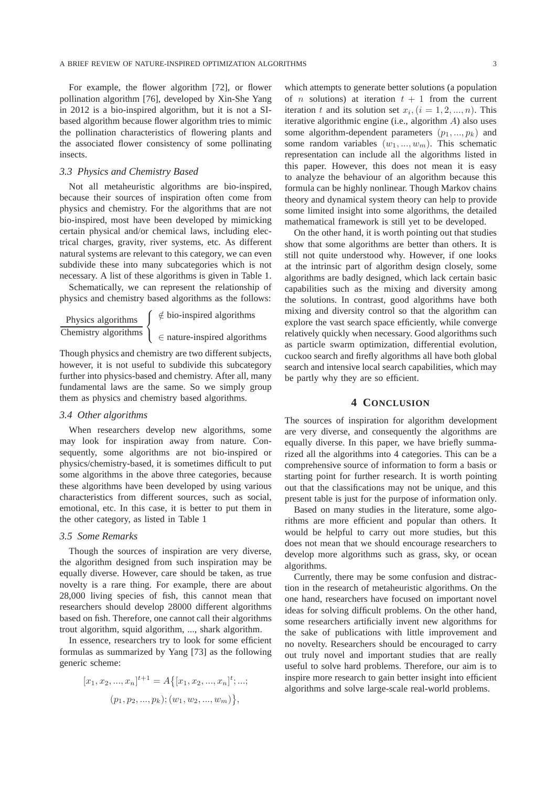For example, the flower algorithm [72], or flower pollination algorithm [76], developed by Xin-She Yang in 2012 is a bio-inspired algorithm, but it is not a SIbased algorithm because flower algorithm tries to mimic the pollination characteristics of flowering plants and the associated flower consistency of some pollinating insects.

## *3.3 Physics and Chemistry Based*

Not all metaheuristic algorithms are bio-inspired, because their sources of inspiration often come from physics and chemistry. For the algorithms that are not bio-inspired, most have been developed by mimicking certain physical and/or chemical laws, including electrical charges, gravity, river systems, etc. As different natural systems are relevant to this category, we can even subdivide these into many subcategories which is not necessary. A list of these algorithms is given in Table 1.

Schematically, we can represent the relationship of physics and chemistry based algorithms as the follows:

Physics algorithms Chemistry algorithms  $\sqrt{ }$ <sup>J</sup>  $\mathcal{L}$ ∈/ bio-inspired algorithms ∈ nature-inspired algorithms

Though physics and chemistry are two different subjects, however, it is not useful to subdivide this subcategory further into physics-based and chemistry. After all, many fundamental laws are the same. So we simply group them as physics and chemistry based algorithms.

## *3.4 Other algorithms*

When researchers develop new algorithms, some may look for inspiration away from nature. Consequently, some algorithms are not bio-inspired or physics/chemistry-based, it is sometimes difficult to put some algorithms in the above three categories, because these algorithms have been developed by using various characteristics from different sources, such as social, emotional, etc. In this case, it is better to put them in the other category, as listed in Table 1

#### *3.5 Some Remarks*

Though the sources of inspiration are very diverse, the algorithm designed from such inspiration may be equally diverse. However, care should be taken, as true novelty is a rare thing. For example, there are about 28,000 living species of fish, this cannot mean that researchers should develop 28000 different algorithms based on fish. Therefore, one cannot call their algorithms trout algorithm, squid algorithm, ..., shark algorithm.

In essence, researchers try to look for some efficient formulas as summarized by Yang [73] as the following generic scheme:

$$
[x_1, x_2, ..., x_n]^{t+1} = A\{ [x_1, x_2, ..., x_n]^t; ...;
$$
  

$$
(p_1, p_2, ..., p_k); (w_1, w_2, ..., w_m) \},
$$

which attempts to generate better solutions (a population of *n* solutions) at iteration  $t + 1$  from the current iteration t and its solution set  $x_i$ ,  $(i = 1, 2, ..., n)$ . This iterative algorithmic engine (i.e., algorithm A) also uses some algorithm-dependent parameters  $(p_1, ..., p_k)$  and some random variables  $(w_1, ..., w_m)$ . This schematic representation can include all the algorithms listed in this paper. However, this does not mean it is easy to analyze the behaviour of an algorithm because this formula can be highly nonlinear. Though Markov chains theory and dynamical system theory can help to provide some limited insight into some algorithms, the detailed mathematical framework is still yet to be developed.

On the other hand, it is worth pointing out that studies show that some algorithms are better than others. It is still not quite understood why. However, if one looks at the intrinsic part of algorithm design closely, some algorithms are badly designed, which lack certain basic capabilities such as the mixing and diversity among the solutions. In contrast, good algorithms have both mixing and diversity control so that the algorithm can explore the vast search space efficiently, while converge relatively quickly when necessary. Good algorithms such as particle swarm optimization, differential evolution, cuckoo search and firefly algorithms all have both global search and intensive local search capabilities, which may be partly why they are so efficient.

# **4 CONCLUSION**

The sources of inspiration for algorithm development are very diverse, and consequently the algorithms are equally diverse. In this paper, we have briefly summarized all the algorithms into 4 categories. This can be a comprehensive source of information to form a basis or starting point for further research. It is worth pointing out that the classifications may not be unique, and this present table is just for the purpose of information only.

Based on many studies in the literature, some algorithms are more efficient and popular than others. It would be helpful to carry out more studies, but this does not mean that we should encourage researchers to develop more algorithms such as grass, sky, or ocean algorithms.

Currently, there may be some confusion and distraction in the research of metaheuristic algorithms. On the one hand, researchers have focused on important novel ideas for solving difficult problems. On the other hand, some researchers artificially invent new algorithms for the sake of publications with little improvement and no novelty. Researchers should be encouraged to carry out truly novel and important studies that are really useful to solve hard problems. Therefore, our aim is to inspire more research to gain better insight into efficient algorithms and solve large-scale real-world problems.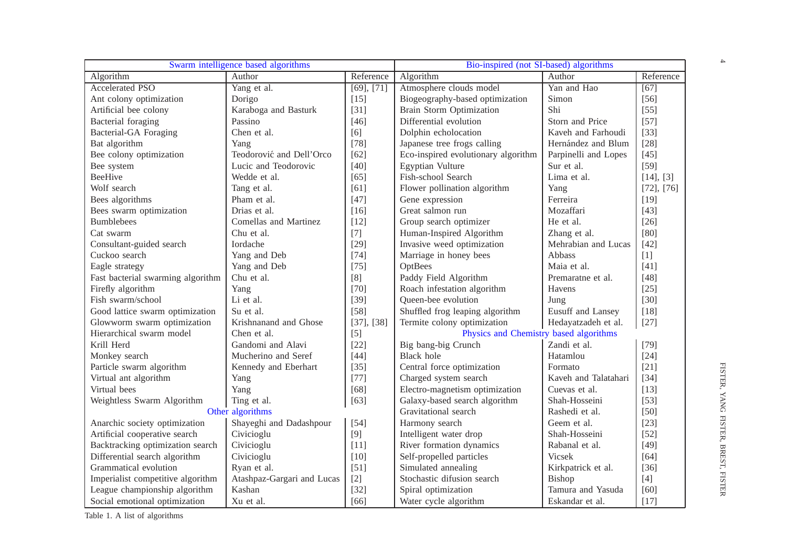| Swarm intelligence based algorithms |                            |            | Bio-inspired (not SI-based) algorithms |                      |                   |
|-------------------------------------|----------------------------|------------|----------------------------------------|----------------------|-------------------|
| Algorithm                           | Author                     | Reference  | Algorithm                              | Author               | Reference         |
| <b>Accelerated PSO</b>              | Yang et al.                | [69], [71] | Atmosphere clouds model                | Yan and Hao          | $\overline{[67]}$ |
| Ant colony optimization             | Dorigo                     | $[15]$     | Biogeography-based optimization        | Simon                | $[56]$            |
| Artificial bee colony               | Karaboga and Basturk       | $[31]$     | Brain Storm Optimization               | Shi                  | $[55]$            |
| Bacterial foraging                  | Passino                    | $[46]$     | Differential evolution                 | Storn and Price      | $[57]$            |
| <b>Bacterial-GA Foraging</b>        | Chen et al.                | [6]        | Dolphin echolocation                   | Kaveh and Farhoudi   | $[33]$            |
| Bat algorithm                       | Yang                       | $[78]$     | Japanese tree frogs calling            | Hernández and Blum   | $[28]$            |
| Bee colony optimization             | Teodorović and Dell'Orco   | $[62]$     | Eco-inspired evolutionary algorithm    | Parpinelli and Lopes | $[45]$            |
| Bee system                          | Lucic and Teodorovic       | $[40]$     | Egyptian Vulture                       | Sur et al.           | $[59]$            |
| <b>BeeHive</b>                      | Wedde et al.               | [65]       | Fish-school Search                     | Lima et al.          | [14], [3]         |
| Wolf search                         | Tang et al.                | [61]       | Flower pollination algorithm           | Yang                 | $[72]$ , $[76]$   |
| Bees algorithms                     | Pham et al.                | $[47]$     | Gene expression                        | Ferreira             | $[19]$            |
| Bees swarm optimization             | Drias et al.               | $[16]$     | Great salmon run                       | Mozaffari            | $[43]$            |
| <b>Bumblebees</b>                   | Comellas and Martinez      | $[12]$     | Group search optimizer                 | He et al.            | $[26]$            |
| Cat swarm                           | Chu et al.                 | $[7]$      | Human-Inspired Algorithm               | Zhang et al.         | [80]              |
| Consultant-guided search            | Iordache                   | $[29]$     | Invasive weed optimization             | Mehrabian and Lucas  | $[42]$            |
| Cuckoo search                       | Yang and Deb               | $[74]$     | Marriage in honey bees                 | Abbass               | $[1]$             |
| Eagle strategy                      | Yang and Deb               | $[75]$     | OptBees                                | Maia et al.          | $[41]$            |
| Fast bacterial swarming algorithm   | Chu et al.                 | [8]        | Paddy Field Algorithm                  | Premaratne et al.    | $[48]$            |
| Firefly algorithm                   | Yang                       | $[70]$     | Roach infestation algorithm            | Havens               | $[25]$            |
| Fish swarm/school                   | Li et al.                  | $[39]$     | Queen-bee evolution                    | Jung                 | $[30]$            |
| Good lattice swarm optimization     | Su et al.                  | $[58]$     | Shuffled frog leaping algorithm        | Eusuff and Lansey    | $[18]$            |
| Glowworm swarm optimization         | Krishnanand and Ghose      | [37], [38] | Termite colony optimization            | Hedayatzadeh et al.  | $[27]$            |
| Hierarchical swarm model            | Chen et al.                | $[5]$      | Physics and Chemistry based algorithms |                      |                   |
| Krill Herd                          | Gandomi and Alavi          | $[22]$     | Big bang-big Crunch                    | Zandi et al.         | $[79]$            |
| Monkey search                       | Mucherino and Seref        | $[44]$     | <b>Black</b> hole                      | Hatamlou             | $[24]$            |
| Particle swarm algorithm            | Kennedy and Eberhart       | $[35]$     | Central force optimization             | Formato              | $[21]$            |
| Virtual ant algorithm               | Yang                       | $[77]$     | Charged system search                  | Kaveh and Talatahari | $[34]$            |
| Virtual bees                        | Yang                       | $[68]$     | Electro-magnetism optimization         | Cuevas et al.        | $[13]$            |
| Weightless Swarm Algorithm          | Ting et al.                | [63]       | Galaxy-based search algorithm          | Shah-Hosseini        | $[53]$            |
| Other algorithms                    |                            |            | Gravitational search                   | Rashedi et al.       | $[50]$            |
| Anarchic society optimization       | Shayeghi and Dadashpour    | $[54]$     | Harmony search                         | Geem et al.          | $[23]$            |
| Artificial cooperative search       | Civicioglu                 | $[9]$      | Intelligent water drop                 | Shah-Hosseini        | $[52]$            |
| Backtracking optimization search    | Civicioglu                 | $[11]$     | River formation dynamics               | Rabanal et al.       | $[49]$            |
| Differential search algorithm       | Civicioglu                 | $[10]$     | Self-propelled particles               | Vicsek               | [64]              |
| Grammatical evolution               | Ryan et al.                | $[51]$     | Simulated annealing                    | Kirkpatrick et al.   | $[36]$            |
| Imperialist competitive algorithm   | Atashpaz-Gargari and Lucas | $[2]$      | Stochastic difusion search             | Bishop               | $[4]$             |
| League championship algorithm       | Kashan                     | $[32]$     | Spiral optimization                    | Tamura and Yasuda    | [60]              |
| Social emotional optimization       | Xu et al.                  | [66]       | Water cycle algorithm                  | Eskandar et al.      | $[17]$            |

 $\rightarrow$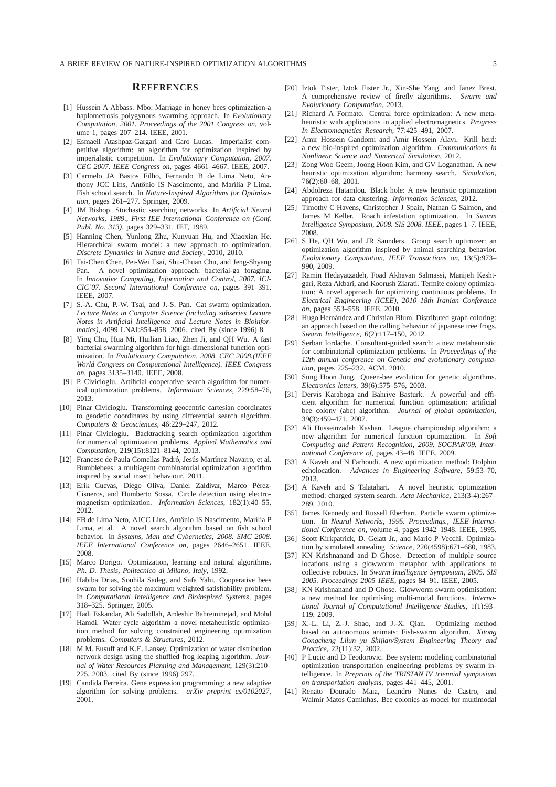## **REFERENCES**

- [1] Hussein A Abbass. Mbo: Marriage in honey bees optimization-a haplometrosis polygynous swarming approach. In *Evolutionary Computation, 2001. Proceedings of the 2001 Congress on*, volume 1, pages 207–214. IEEE, 2001.
- [2] Esmaeil Atashpaz-Gargari and Caro Lucas. Imperialist competitive algorithm: an algorithm for optimization inspired by imperialistic competition. In *Evolutionary Computation, 2007. CEC 2007. IEEE Congress on*, pages 4661–4667. IEEE, 2007.
- [3] Carmelo JA Bastos Filho, Fernando B de Lima Neto, Anthony JCC Lins, Antônio IS Nascimento, and Marília P Lima. Fish school search. In *Nature-Inspired Algorithms for Optimisation*, pages 261–277. Springer, 2009.
- [4] JM Bishop. Stochastic searching networks. In *Artificial Neural Networks, 1989., First IEE International Conference on (Conf. Publ. No. 313)*, pages 329–331. IET, 1989.
- [5] Hanning Chen, Yunlong Zhu, Kunyuan Hu, and Xiaoxian He. Hierarchical swarm model: a new approach to optimization. *Discrete Dynamics in Nature and Society*, 2010, 2010.
- [6] Tai-Chen Chen, Pei-Wei Tsai, Shu-Chuan Chu, and Jeng-Shyang Pan. A novel optimization approach: bacterial-ga foraging. In *Innovative Computing, Information and Control, 2007. ICI-CIC'07. Second International Conference on*, pages 391–391. IEEE, 2007.
- [7] S.-A. Chu, P.-W. Tsai, and J.-S. Pan. Cat swarm optimization. *Lecture Notes in Computer Science (including subseries Lecture Notes in Artificial Intelligence and Lecture Notes in Bioinformatics)*, 4099 LNAI:854–858, 2006. cited By (since 1996) 8.
- [8] Ying Chu, Hua Mi, Huilian Liao, Zhen Ji, and QH Wu. A fast bacterial swarming algorithm for high-dimensional function optimization. In *Evolutionary Computation, 2008. CEC 2008.(IEEE World Congress on Computational Intelligence). IEEE Congress on*, pages 3135–3140. IEEE, 2008.
- [9] P. Civicioglu. Artificial cooperative search algorithm for numerical optimization problems. *Information Sciences*, 229:58–76, 2013.
- [10] Pinar Civicioglu. Transforming geocentric cartesian coordinates to geodetic coordinates by using differential search algorithm. *Computers & Geosciences*, 46:229–247, 2012.
- [11] Pinar Civicioglu. Backtracking search optimization algorithm for numerical optimization problems. *Applied Mathematics and Computation*, 219(15):8121–8144, 2013.
- [12] Francesc de Paula Comellas Padró, Jesús Martínez Navarro, et al. Bumblebees: a multiagent combinatorial optimization algorithm inspired by social insect behaviour. 2011.
- [13] Erik Cuevas, Diego Oliva, Daniel Zaldivar, Marco Pérez-Cisneros, and Humberto Sossa. Circle detection using electromagnetism optimization. *Information Sciences*, 182(1):40–55, 2012.
- [14] FB de Lima Neto, AJCC Lins, Antônio IS Nascimento, Marília P Lima, et al. A novel search algorithm based on fish school behavior. In *Systems, Man and Cybernetics, 2008. SMC 2008. IEEE International Conference on*, pages 2646–2651. IEEE, 2008.
- [15] Marco Dorigo. Optimization, learning and natural algorithms. *Ph. D. Thesis, Politecnico di Milano, Italy*, 1992.
- [16] Habiba Drias, Souhila Sadeg, and Safa Yahi. Cooperative bees swarm for solving the maximum weighted satisfiability problem. In *Computational Intelligence and Bioinspired Systems*, pages 318–325. Springer, 2005.
- [17] Hadi Eskandar, Ali Sadollah, Ardeshir Bahreininejad, and Mohd Hamdi. Water cycle algorithm–a novel metaheuristic optimization method for solving constrained engineering optimization problems. *Computers & Structures*, 2012.
- [18] M.M. Eusuff and K.E. Lansey. Optimization of water distribution network design using the shuffled frog leaping algorithm. *Journal of Water Resources Planning and Management*, 129(3):210– 225, 2003. cited By (since 1996) 297.
- [19] Candida Ferreira. Gene expression programming: a new adaptive algorithm for solving problems. *arXiv preprint cs/0102027*, 2001.
- [20] Iztok Fister, Iztok Fister Jr., Xin-She Yang, and Janez Brest. A comprehensive review of firefly algorithms. *Swarm and Evolutionary Computation*, 2013.
- [21] Richard A Formato. Central force optimization: A new metaheuristic with applications in applied electromagnetics. *Progress In Electromagnetics Research*, 77:425–491, 2007.
- [22] Amir Hossein Gandomi and Amir Hossein Alavi. Krill herd: a new bio-inspired optimization algorithm. *Communications in Nonlinear Science and Numerical Simulation*, 2012.
- [23] Zong Woo Geem, Joong Hoon Kim, and GV Loganathan. A new heuristic optimization algorithm: harmony search. *Simulation*, 76(2):60–68, 2001.
- [24] Abdolreza Hatamlou. Black hole: A new heuristic optimization approach for data clustering. *Information Sciences*, 2012.
- [25] Timothy C Havens, Christopher J Spain, Nathan G Salmon, and James M Keller. Roach infestation optimization. In *Swarm Intelligence Symposium, 2008. SIS 2008. IEEE*, pages 1–7. IEEE, 2008.
- [26] S He, QH Wu, and JR Saunders. Group search optimizer: an optimization algorithm inspired by animal searching behavior. *Evolutionary Computation, IEEE Transactions on*, 13(5):973– 990, 2009.
- [27] Ramin Hedayatzadeh, Foad Akhavan Salmassi, Manijeh Keshtgari, Reza Akbari, and Koorush Ziarati. Termite colony optimization: A novel approach for optimizing continuous problems. In *Electrical Engineering (ICEE), 2010 18th Iranian Conference on*, pages 553–558. IEEE, 2010.
- [28] Hugo Hernández and Christian Blum. Distributed graph coloring: an approach based on the calling behavior of japanese tree frogs. *Swarm Intelligence*, 6(2):117–150, 2012.
- [29] Serban Iordache. Consultant-guided search: a new metaheuristic for combinatorial optimization problems. In *Proceedings of the 12th annual conference on Genetic and evolutionary computation*, pages 225–232. ACM, 2010.
- [30] Sung Hoon Jung. Queen-bee evolution for genetic algorithms. *Electronics letters*, 39(6):575–576, 2003.
- [31] Dervis Karaboga and Bahriye Basturk. A powerful and efficient algorithm for numerical function optimization: artificial bee colony (abc) algorithm. *Journal of global optimization*, 39(3):459–471, 2007.
- [32] Ali Husseinzadeh Kashan. League championship algorithm: a new algorithm for numerical function optimization. In *Soft Computing and Pattern Recognition, 2009. SOCPAR'09. International Conference of*, pages 43–48. IEEE, 2009.
- [33] A Kaveh and N Farhoudi. A new optimization method: Dolphin echolocation. *Advances in Engineering Software*, 59:53–70, 2013.
- [34] A Kaveh and S Talatahari. A novel heuristic optimization method: charged system search. *Acta Mechanica*, 213(3-4):267– 289, 2010.
- [35] James Kennedy and Russell Eberhart. Particle swarm optimization. In *Neural Networks, 1995. Proceedings., IEEE International Conference on*, volume 4, pages 1942–1948. IEEE, 1995.
- [36] Scott Kirkpatrick, D. Gelatt Jr., and Mario P Vecchi. Optimization by simulated annealing. *Science*, 220(4598):671–680, 1983.
- [37] KN Krishnanand and D Ghose. Detection of multiple source locations using a glowworm metaphor with applications to collective robotics. In *Swarm Intelligence Symposium, 2005. SIS 2005. Proceedings 2005 IEEE*, pages 84–91. IEEE, 2005.
- [38] KN Krishnanand and D Ghose. Glowworm swarm optimisation: a new method for optimising multi-modal functions. *International Journal of Computational Intelligence Studies*, 1(1):93– 119, 2009.
- [39] X.-L. Li, Z.-J. Shao, and J.-X. Qian. Optimizing method based on autonomous animats: Fish-swarm algorithm. *Xitong Gongcheng Lilun yu Shijian/System Engineering Theory and Practice*, 22(11):32, 2002.
- [40] P Lucic and D Teodorovic. Bee system: modeling combinatorial optimization transportation engineering problems by swarm intelligence. In *Preprints of the TRISTAN IV triennial symposium on transportation analysis*, pages 441–445, 2001.
- [41] Renato Dourado Maia, Leandro Nunes de Castro, and Walmir Matos Caminhas. Bee colonies as model for multimodal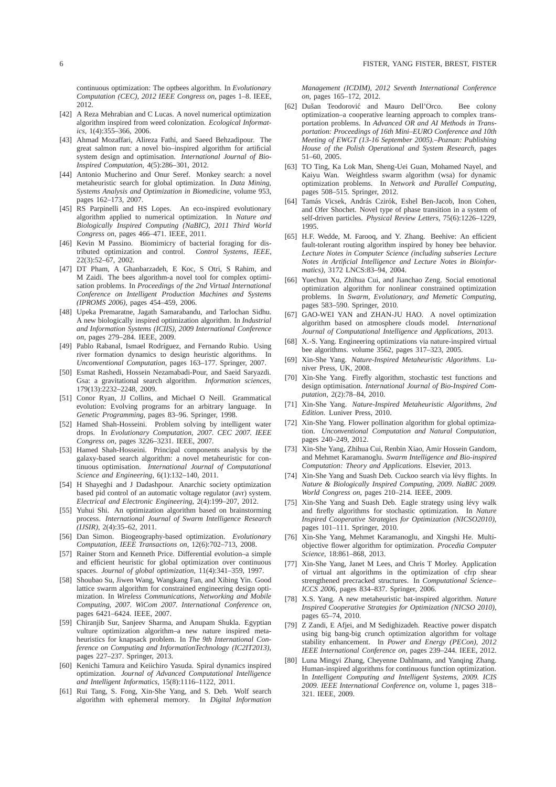continuous optimization: The optbees algorithm. In *Evolutionary Computation (CEC), 2012 IEEE Congress on*, pages 1–8. IEEE, 2012.

- [42] A Reza Mehrabian and C Lucas. A novel numerical optimization algorithm inspired from weed colonization. *Ecological Informatics*, 1(4):355–366, 2006.
- [43] Ahmad Mozaffari, Alireza Fathi, and Saeed Behzadipour. The great salmon run: a novel bio–inspired algorithm for artificial system design and optimisation. *International Journal of Bio-Inspired Computation*, 4(5):286–301, 2012.
- [44] Antonio Mucherino and Onur Seref. Monkey search: a novel metaheuristic search for global optimization. In *Data Mining, Systems Analysis and Optimization in Biomedicine*, volume 953, pages 162–173, 2007.
- [45] RS Parpinelli and HS Lopes. An eco-inspired evolutionary algorithm applied to numerical optimization. In *Nature and Biologically Inspired Computing (NaBIC), 2011 Third World Congress on*, pages 466–471. IEEE, 2011.
- [46] Kevin M Passino. Biomimicry of bacterial foraging for distributed optimization and control. *Control Systems, IEEE*, 22(3):52–67, 2002.
- [47] DT Pham, A Ghanbarzadeh, E Koc, S Otri, S Rahim, and M Zaidi. The bees algorithm-a novel tool for complex optimisation problems. In *Proceedings of the 2nd Virtual International Conference on Intelligent Production Machines and Systems (IPROMS 2006)*, pages 454–459, 2006.
- [48] Upeka Premaratne, Jagath Samarabandu, and Tarlochan Sidhu. A new biologically inspired optimization algorithm. In *Industrial and Information Systems (ICIIS), 2009 International Conference on*, pages 279–284. IEEE, 2009.
- [49] Pablo Rabanal, Ismael Rodríguez, and Fernando Rubio. Using river formation dynamics to design heuristic algorithms. In *Unconventional Computation*, pages 163–177. Springer, 2007.
- [50] Esmat Rashedi, Hossein Nezamabadi-Pour, and Saeid Saryazdi. Gsa: a gravitational search algorithm. *Information sciences*, 179(13):2232–2248, 2009.
- [51] Conor Ryan, JJ Collins, and Michael O Neill. Grammatical evolution: Evolving programs for an arbitrary language. In *Genetic Programming*, pages 83–96. Springer, 1998.
- [52] Hamed Shah-Hosseini. Problem solving by intelligent water drops. In *Evolutionary Computation, 2007. CEC 2007. IEEE Congress on*, pages 3226–3231. IEEE, 2007.
- [53] Hamed Shah-Hosseini. Principal components analysis by the galaxy-based search algorithm: a novel metaheuristic for continuous optimisation. *International Journal of Computational Science and Engineering*, 6(1):132–140, 2011.
- [54] H Shayeghi and J Dadashpour. Anarchic society optimization based pid control of an automatic voltage regulator (avr) system. *Electrical and Electronic Engineering*, 2(4):199–207, 2012.
- [55] Yuhui Shi. An optimization algorithm based on brainstorming process. *International Journal of Swarm Intelligence Research (IJSIR)*, 2(4):35–62, 2011.
- [56] Dan Simon. Biogeography-based optimization. *Evolutionary Computation, IEEE Transactions on*, 12(6):702–713, 2008.
- [57] Rainer Storn and Kenneth Price. Differential evolution–a simple and efficient heuristic for global optimization over continuous spaces. *Journal of global optimization*, 11(4):341–359, 1997.
- [58] Shoubao Su, Jiwen Wang, Wangkang Fan, and Xibing Yin. Good lattice swarm algorithm for constrained engineering design optimization. In *Wireless Communications, Networking and Mobile Computing, 2007. WiCom 2007. International Conference on*, pages 6421–6424. IEEE, 2007.
- [59] Chiranjib Sur, Sanjeev Sharma, and Anupam Shukla. Egyptian vulture optimization algorithm–a new nature inspired metaheuristics for knapsack problem. In *The 9th International Conference on Computing and InformationTechnology (IC2IT2013)*, pages 227–237. Springer, 2013.
- [60] Kenichi Tamura and Keiichiro Yasuda. Spiral dynamics inspired optimization. *Journal of Advanced Computational Intelligence and Intelligent Informatics*, 15(8):1116–1122, 2011.
- [61] Rui Tang, S. Fong, Xin-She Yang, and S. Deb. Wolf search algorithm with ephemeral memory. In *Digital Information*

*Management (ICDIM), 2012 Seventh International Conference on*, pages 165–172, 2012.

- [62] Dušan Teodorović and Mauro Dell'Orco. Bee colony optimization–a cooperative learning approach to complex transportation problems. In *Advanced OR and AI Methods in Transportation: Proceedings of 16th Mini–EURO Conference and 10th Meeting of EWGT (13-16 September 2005).–Poznan: Publishing House of the Polish Operational and System Research*, pages 51–60, 2005.
- [63] TO Ting, Ka Lok Man, Sheng-Uei Guan, Mohamed Nayel, and Kaiyu Wan. Weightless swarm algorithm (wsa) for dynamic optimization problems. In *Network and Parallel Computing*, pages 508–515. Springer, 2012.
- [64] Tamás Vicsek, András Czirók, Eshel Ben-Jacob, Inon Cohen, and Ofer Shochet. Novel type of phase transition in a system of self-driven particles. *Physical Review Letters*, 75(6):1226–1229, 1995.
- [65] H.F. Wedde, M. Farooq, and Y. Zhang. Beehive: An efficient fault-tolerant routing algorithm inspired by honey bee behavior. *Lecture Notes in Computer Science (including subseries Lecture Notes in Artificial Intelligence and Lecture Notes in Bioinformatics)*, 3172 LNCS:83–94, 2004.
- [66] Yuechun Xu, Zhihua Cui, and Jianchao Zeng. Social emotional optimization algorithm for nonlinear constrained optimization problems. In *Swarm, Evolutionary, and Memetic Computing*, pages 583–590. Springer, 2010.
- [67] GAO-WEI YAN and ZHAN-JU HAO. A novel optimization algorithm based on atmosphere clouds model. *International Journal of Computational Intelligence and Applications*, 2013.
- [68] X.-S. Yang. Engineering optimizations via nature-inspired virtual bee algorithms. volume 3562, pages 317–323, 2005.
- [69] Xin-She Yang. *Nature-Inspired Metaheuristic Algorithms*. Luniver Press, UK, 2008.
- [70] Xin-She Yang. Firefly algorithm, stochastic test functions and design optimisation. *International Journal of Bio-Inspired Computation*, 2(2):78–84, 2010.
- [71] Xin-She Yang. *Nature-Inspired Metaheuristic Algorithms, 2nd Edition*. Luniver Press, 2010.
- [72] Xin-She Yang. Flower pollination algorithm for global optimization. *Unconventional Computation and Natural Computation*, pages 240–249, 2012.
- [73] Xin-She Yang, Zhihua Cui, Renbin Xiao, Amir Hossein Gandom, and Mehmet Karamanoglu. *Swarm Intelligence and Bio-inspired Computation: Theory and Applications*. Elsevier, 2013.
- [74] Xin-She Yang and Suash Deb. Cuckoo search via lévy flights. In *Nature & Biologically Inspired Computing, 2009. NaBIC 2009. World Congress on*, pages 210–214. IEEE, 2009.
- [75] Xin-She Yang and Suash Deb. Eagle strategy using lévy walk and firefly algorithms for stochastic optimization. In *Nature Inspired Cooperative Strategies for Optimization (NICSO2010)*, pages 101–111. Springer, 2010.
- [76] Xin-She Yang, Mehmet Karamanoglu, and Xingshi He. Multiobjective flower algorithm for optimization. *Procedia Computer Science*, 18:861–868, 2013.
- [77] Xin-She Yang, Janet M Lees, and Chris T Morley. Application of virtual ant algorithms in the optimization of cfrp shear strengthened precracked structures. In *Computational Science– ICCS 2006*, pages 834–837. Springer, 2006.
- [78] X.S. Yang. A new metaheuristic bat-inspired algorithm. *Nature Inspired Cooperative Strategies for Optimization (NICSO 2010)*, pages 65–74, 2010.
- [79] Z Zandi, E Afjei, and M Sedighizadeh. Reactive power dispatch using big bang-big crunch optimization algorithm for voltage stability enhancement. In *Power and Energy (PECon), 2012 IEEE International Conference on*, pages 239–244. IEEE, 2012.
- [80] Luna Mingyi Zhang, Cheyenne Dahlmann, and Yanqing Zhang. Human-inspired algorithms for continuous function optimization. In *Intelligent Computing and Intelligent Systems, 2009. ICIS 2009. IEEE International Conference on*, volume 1, pages 318– 321. IEEE, 2009.